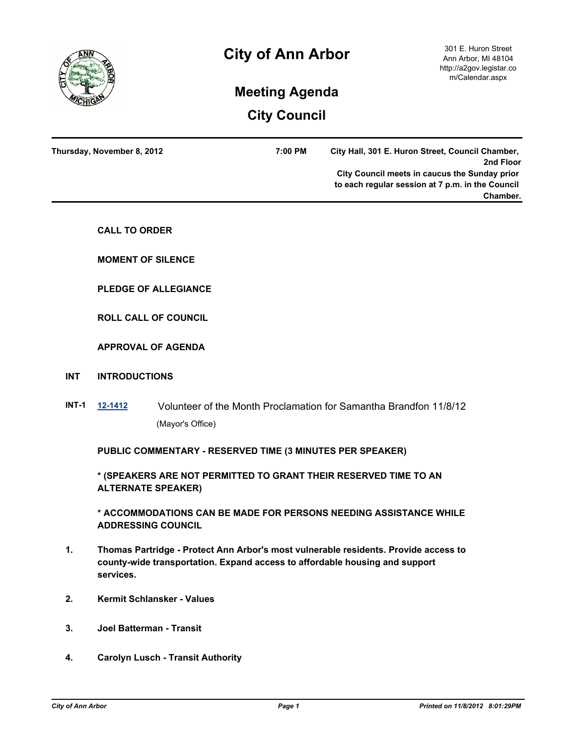

| Thursday, November 8, 2012 | 7:00 PM | City Hall, 301 E. Huron Street, Council Chamber, |  |
|----------------------------|---------|--------------------------------------------------|--|
|                            |         | 2nd Floor                                        |  |
|                            |         | City Council meets in caucus the Sunday prior    |  |
|                            |         | to each regular session at 7 p.m. in the Council |  |
|                            |         | Chamber.                                         |  |
|                            |         |                                                  |  |

**CALL TO ORDER**

**MOMENT OF SILENCE**

**PLEDGE OF ALLEGIANCE**

**ROLL CALL OF COUNCIL**

# **APPROVAL OF AGENDA**

## **INT INTRODUCTIONS**

**INT-1 [12-1412](http://a2gov.legistar.com/gateway.aspx?M=L&ID=9752)** Volunteer of the Month Proclamation for Samantha Brandfon 11/8/12 (Mayor's Office)

**PUBLIC COMMENTARY - RESERVED TIME (3 MINUTES PER SPEAKER)**

**\* (SPEAKERS ARE NOT PERMITTED TO GRANT THEIR RESERVED TIME TO AN ALTERNATE SPEAKER)**

**\* ACCOMMODATIONS CAN BE MADE FOR PERSONS NEEDING ASSISTANCE WHILE ADDRESSING COUNCIL**

- **1. Thomas Partridge Protect Ann Arbor's most vulnerable residents. Provide access to county-wide transportation. Expand access to affordable housing and support services.**
- **2. Kermit Schlansker Values**
- **3. Joel Batterman Transit**
- **4. Carolyn Lusch Transit Authority**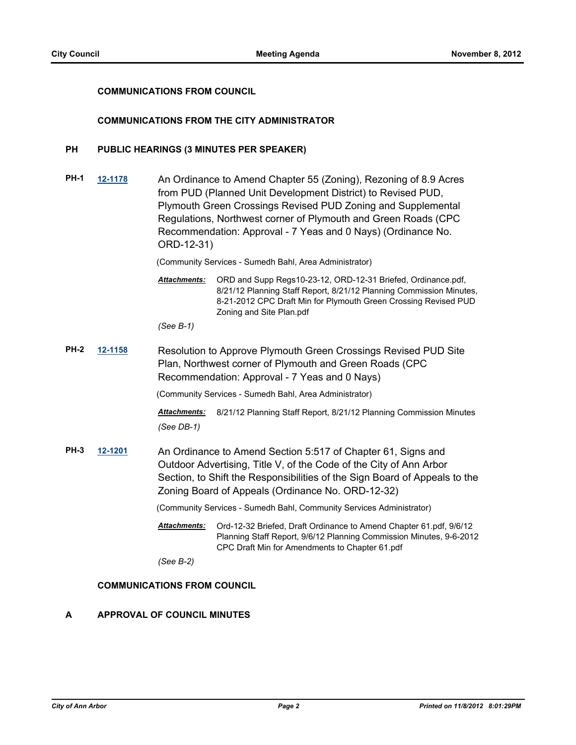# **COMMUNICATIONS FROM COUNCIL**

## **COMMUNICATIONS FROM THE CITY ADMINISTRATOR**

## **PH PUBLIC HEARINGS (3 MINUTES PER SPEAKER)**

**PH-1 [12-1178](http://a2gov.legistar.com/gateway.aspx?M=L&ID=9498)** An Ordinance to Amend Chapter 55 (Zoning), Rezoning of 8.9 Acres from PUD (Planned Unit Development District) to Revised PUD, Plymouth Green Crossings Revised PUD Zoning and Supplemental Regulations, Northwest corner of Plymouth and Green Roads (CPC Recommendation: Approval - 7 Yeas and 0 Nays) (Ordinance No. ORD-12-31)

(Community Services - Sumedh Bahl, Area Administrator)

Attachments: ORD and Supp Regs10-23-12, ORD-12-31 Briefed, Ordinance.pdf, 8/21/12 Planning Staff Report, 8/21/12 Planning Commission Minutes, 8-21-2012 CPC Draft Min for Plymouth Green Crossing Revised PUD Zoning and Site Plan.pdf

*(See B-1)*

**PH-2 [12-1158](http://a2gov.legistar.com/gateway.aspx?M=L&ID=9476)** Resolution to Approve Plymouth Green Crossings Revised PUD Site Plan, Northwest corner of Plymouth and Green Roads (CPC Recommendation: Approval - 7 Yeas and 0 Nays)

(Community Services - Sumedh Bahl, Area Administrator)

*Attachments:* 8/21/12 Planning Staff Report, 8/21/12 Planning Commission Minutes *(See DB-1)*

**PH-3 [12-1201](http://a2gov.legistar.com/gateway.aspx?M=L&ID=9525)** An Ordinance to Amend Section 5:517 of Chapter 61, Signs and Outdoor Advertising, Title V, of the Code of the City of Ann Arbor Section, to Shift the Responsibilities of the Sign Board of Appeals to the Zoning Board of Appeals (Ordinance No. ORD-12-32)

(Community Services - Sumedh Bahl, Community Services Administrator)

Attachments: Ord-12-32 Briefed, Draft Ordinance to Amend Chapter 61.pdf, 9/6/12 Planning Staff Report, 9/6/12 Planning Commission Minutes, 9-6-2012 CPC Draft Min for Amendments to Chapter 61.pdf

*(See B-2)*

# **COMMUNICATIONS FROM COUNCIL**

#### **A APPROVAL OF COUNCIL MINUTES**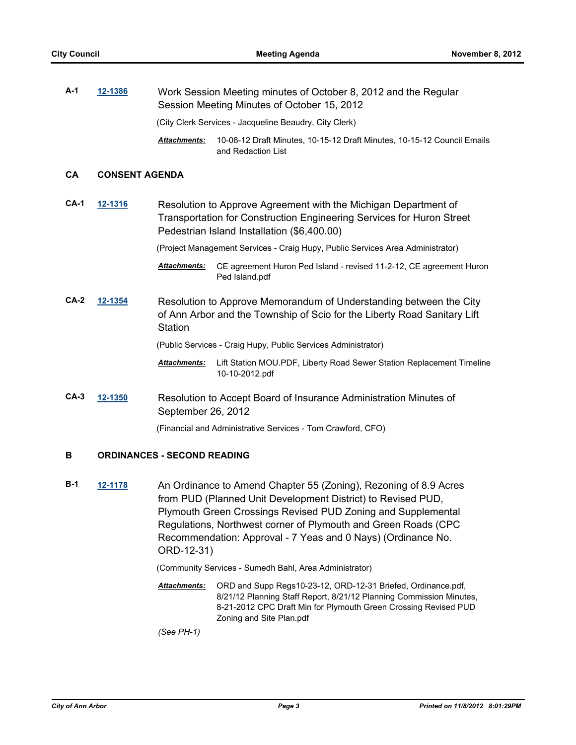**A-1 [12-1386](http://a2gov.legistar.com/gateway.aspx?M=L&ID=9708)** Work Session Meeting minutes of October 8, 2012 and the Regular Session Meeting Minutes of October 15, 2012 (City Clerk Services - Jacqueline Beaudry, City Clerk) 10-08-12 Draft Minutes, 10-15-12 Draft Minutes, 10-15-12 Council Emails *Attachments:*

and Redaction List

# **CA CONSENT AGENDA**

**CA-1 [12-1316](http://a2gov.legistar.com/gateway.aspx?M=L&ID=9635)** Resolution to Approve Agreement with the Michigan Department of Transportation for Construction Engineering Services for Huron Street Pedestrian Island Installation (\$6,400.00)

(Project Management Services - Craig Hupy, Public Services Area Administrator)

- Attachments: CE agreement Huron Ped Island revised 11-2-12, CE agreement Huron Ped Island.pdf
- **CA-2 [12-1354](http://a2gov.legistar.com/gateway.aspx?M=L&ID=9673)** Resolution to Approve Memorandum of Understanding between the City of Ann Arbor and the Township of Scio for the Liberty Road Sanitary Lift **Station**

(Public Services - Craig Hupy, Public Services Administrator)

- Attachments: Lift Station MOU.PDF, Liberty Road Sewer Station Replacement Timeline 10-10-2012.pdf
- **CA-3 [12-1350](http://a2gov.legistar.com/gateway.aspx?M=L&ID=9668)** Resolution to Accept Board of Insurance Administration Minutes of September 26, 2012

(Financial and Administrative Services - Tom Crawford, CFO)

#### **B ORDINANCES - SECOND READING**

**B-1 [12-1178](http://a2gov.legistar.com/gateway.aspx?M=L&ID=9498)** An Ordinance to Amend Chapter 55 (Zoning), Rezoning of 8.9 Acres from PUD (Planned Unit Development District) to Revised PUD, Plymouth Green Crossings Revised PUD Zoning and Supplemental Regulations, Northwest corner of Plymouth and Green Roads (CPC Recommendation: Approval - 7 Yeas and 0 Nays) (Ordinance No. ORD-12-31)

(Community Services - Sumedh Bahl, Area Administrator)

Attachments: ORD and Supp Regs10-23-12, ORD-12-31 Briefed, Ordinance.pdf, 8/21/12 Planning Staff Report, 8/21/12 Planning Commission Minutes, 8-21-2012 CPC Draft Min for Plymouth Green Crossing Revised PUD Zoning and Site Plan.pdf

*(See PH-1)*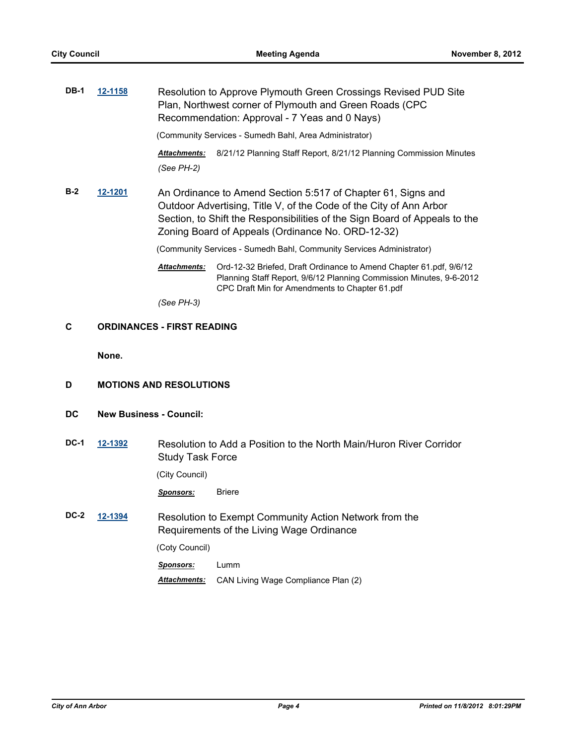| <b>DB-1</b> | 12-1158                           |                                   | Resolution to Approve Plymouth Green Crossings Revised PUD Site<br>Plan, Northwest corner of Plymouth and Green Roads (CPC<br>Recommendation: Approval - 7 Yeas and 0 Nays)                                                                                           |
|-------------|-----------------------------------|-----------------------------------|-----------------------------------------------------------------------------------------------------------------------------------------------------------------------------------------------------------------------------------------------------------------------|
|             |                                   |                                   | (Community Services - Sumedh Bahl, Area Administrator)                                                                                                                                                                                                                |
|             |                                   | <b>Attachments:</b><br>(See PH-2) | 8/21/12 Planning Staff Report, 8/21/12 Planning Commission Minutes                                                                                                                                                                                                    |
| $B-2$       | 12-1201                           |                                   | An Ordinance to Amend Section 5:517 of Chapter 61, Signs and<br>Outdoor Advertising, Title V, of the Code of the City of Ann Arbor<br>Section, to Shift the Responsibilities of the Sign Board of Appeals to the<br>Zoning Board of Appeals (Ordinance No. ORD-12-32) |
|             |                                   |                                   | (Community Services - Sumedh Bahl, Community Services Administrator)                                                                                                                                                                                                  |
|             |                                   | <b>Attachments:</b>               | Ord-12-32 Briefed, Draft Ordinance to Amend Chapter 61.pdf, 9/6/12<br>Planning Staff Report, 9/6/12 Planning Commission Minutes, 9-6-2012<br>CPC Draft Min for Amendments to Chapter 61.pdf                                                                           |
|             |                                   | (See PH-3)                        |                                                                                                                                                                                                                                                                       |
| С           | <b>ORDINANCES - FIRST READING</b> |                                   |                                                                                                                                                                                                                                                                       |
|             | None.                             |                                   |                                                                                                                                                                                                                                                                       |
| D           | <b>MOTIONS AND RESOLUTIONS</b>    |                                   |                                                                                                                                                                                                                                                                       |
| DC          | <b>New Business - Council:</b>    |                                   |                                                                                                                                                                                                                                                                       |
| <b>DC-1</b> | 12-1392                           | <b>Study Task Force</b>           | Resolution to Add a Position to the North Main/Huron River Corridor                                                                                                                                                                                                   |
|             |                                   | (City Council)                    |                                                                                                                                                                                                                                                                       |
|             |                                   | <u>Sponsors:</u>                  | <b>Briere</b>                                                                                                                                                                                                                                                         |
| DC-2        | 12-1394                           |                                   | Resolution to Exempt Community Action Network from the<br>Requirements of the Living Wage Ordinance                                                                                                                                                                   |
|             |                                   | (Coty Council)                    |                                                                                                                                                                                                                                                                       |

*Sponsors:* Lumm

*Attachments:* CAN Living Wage Compliance Plan (2)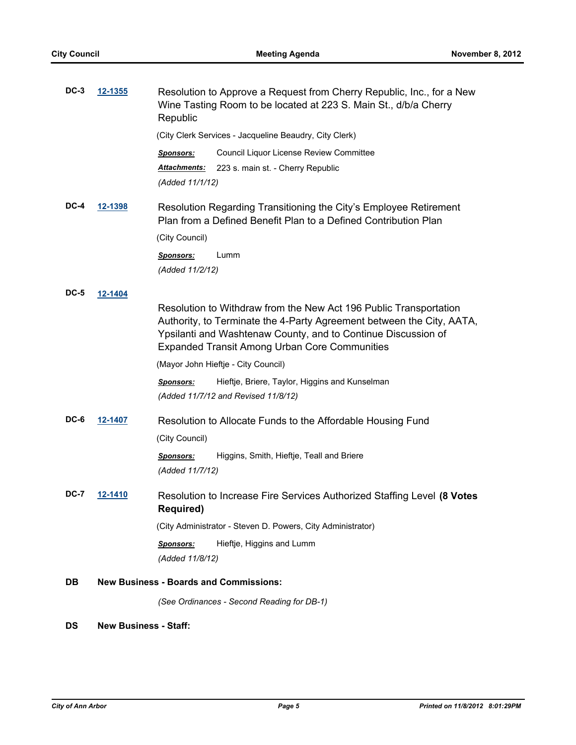| $DC-3$ | 12-1355        | Resolution to Approve a Request from Cherry Republic, Inc., for a New<br>Wine Tasting Room to be located at 223 S. Main St., d/b/a Cherry<br>Republic                                                                                                               |
|--------|----------------|---------------------------------------------------------------------------------------------------------------------------------------------------------------------------------------------------------------------------------------------------------------------|
|        |                | (City Clerk Services - Jacqueline Beaudry, City Clerk)                                                                                                                                                                                                              |
|        |                | Council Liquor License Review Committee<br><u>Sponsors:</u>                                                                                                                                                                                                         |
|        |                | <u> Attachments:</u><br>223 s. main st. - Cherry Republic                                                                                                                                                                                                           |
|        |                | (Added 11/1/12)                                                                                                                                                                                                                                                     |
| DC-4   | 12-1398        | Resolution Regarding Transitioning the City's Employee Retirement<br>Plan from a Defined Benefit Plan to a Defined Contribution Plan                                                                                                                                |
|        |                | (City Council)                                                                                                                                                                                                                                                      |
|        |                | Lumm<br><b>Sponsors:</b><br>(Added 11/2/12)                                                                                                                                                                                                                         |
| DC-5   | <u>12-1404</u> |                                                                                                                                                                                                                                                                     |
|        |                | Resolution to Withdraw from the New Act 196 Public Transportation<br>Authority, to Terminate the 4-Party Agreement between the City, AATA,<br>Ypsilanti and Washtenaw County, and to Continue Discussion of<br><b>Expanded Transit Among Urban Core Communities</b> |
|        |                | (Mayor John Hieftje - City Council)                                                                                                                                                                                                                                 |
|        |                | Hieftje, Briere, Taylor, Higgins and Kunselman<br><b>Sponsors:</b><br>(Added 11/7/12 and Revised 11/8/12)                                                                                                                                                           |
| DC-6   | 12-1407        | Resolution to Allocate Funds to the Affordable Housing Fund                                                                                                                                                                                                         |
|        |                | (City Council)                                                                                                                                                                                                                                                      |
|        |                | Higgins, Smith, Hieftje, Teall and Briere<br><b>Sponsors:</b><br>(Added 11/7/12)                                                                                                                                                                                    |
| DC-7   | 12-1410        | Resolution to Increase Fire Services Authorized Staffing Level (8 Votes<br><b>Required)</b>                                                                                                                                                                         |
|        |                | (City Administrator - Steven D. Powers, City Administrator)                                                                                                                                                                                                         |
|        |                | Hieftje, Higgins and Lumm<br><b>Sponsors:</b><br>(Added 11/8/12)                                                                                                                                                                                                    |
| DB     |                | <b>New Business - Boards and Commissions:</b>                                                                                                                                                                                                                       |
|        |                | (See Ordinances - Second Reading for DB-1)                                                                                                                                                                                                                          |

# **DS New Business - Staff:**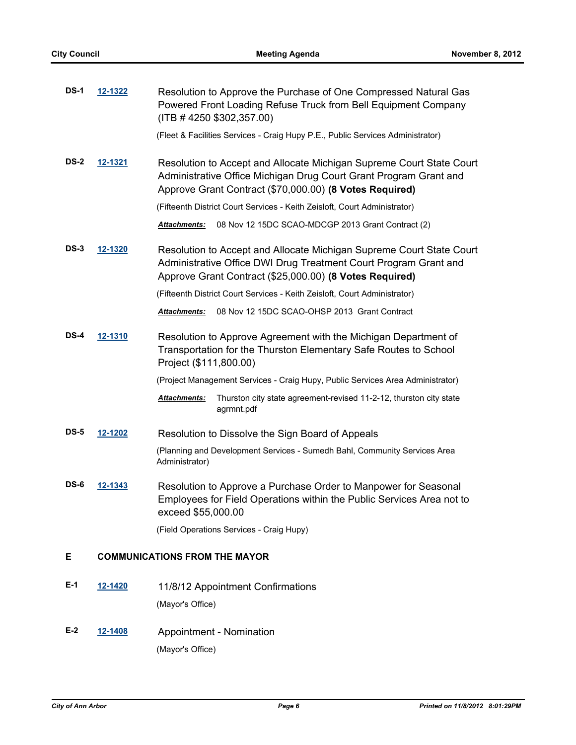| <b>DS-1</b> | 12-1322        | Resolution to Approve the Purchase of One Compressed Natural Gas<br>Powered Front Loading Refuse Truck from Bell Equipment Company<br>$($ ITB # 4250 \$302,357.00)<br>(Fleet & Facilities Services - Craig Hupy P.E., Public Services Administrator) |
|-------------|----------------|------------------------------------------------------------------------------------------------------------------------------------------------------------------------------------------------------------------------------------------------------|
| <b>DS-2</b> | 12-1321        | Resolution to Accept and Allocate Michigan Supreme Court State Court<br>Administrative Office Michigan Drug Court Grant Program Grant and<br>Approve Grant Contract (\$70,000.00) (8 Votes Required)                                                 |
|             |                | (Fifteenth District Court Services - Keith Zeisloft, Court Administrator)                                                                                                                                                                            |
|             |                | 08 Nov 12 15DC SCAO-MDCGP 2013 Grant Contract (2)<br>Attachments:                                                                                                                                                                                    |
| <b>DS-3</b> | <u>12-1320</u> | Resolution to Accept and Allocate Michigan Supreme Court State Court<br>Administrative Office DWI Drug Treatment Court Program Grant and<br>Approve Grant Contract (\$25,000.00) (8 Votes Required)                                                  |
|             |                | (Fifteenth District Court Services - Keith Zeisloft, Court Administrator)                                                                                                                                                                            |
|             |                | 08 Nov 12 15DC SCAO-OHSP 2013 Grant Contract<br><b>Attachments:</b>                                                                                                                                                                                  |
| $DS-4$      | 12-1310        | Resolution to Approve Agreement with the Michigan Department of<br>Transportation for the Thurston Elementary Safe Routes to School<br>Project (\$111,800.00)                                                                                        |
|             |                | (Project Management Services - Craig Hupy, Public Services Area Administrator)                                                                                                                                                                       |
|             |                | Attachments:<br>Thurston city state agreement-revised 11-2-12, thurston city state<br>agrmnt.pdf                                                                                                                                                     |
| <b>DS-5</b> | 12-1202        | Resolution to Dissolve the Sign Board of Appeals                                                                                                                                                                                                     |
|             |                | (Planning and Development Services - Sumedh Bahl, Community Services Area<br>Administrator)                                                                                                                                                          |
| DS-6        | 12-1343        | Resolution to Approve a Purchase Order to Manpower for Seasonal<br>Employees for Field Operations within the Public Services Area not to<br>exceed \$55,000.00                                                                                       |
|             |                | (Field Operations Services - Craig Hupy)                                                                                                                                                                                                             |
| E           |                | <b>COMMUNICATIONS FROM THE MAYOR</b>                                                                                                                                                                                                                 |
| $E-1$       | 12-1420        | 11/8/12 Appointment Confirmations<br>(Mayor's Office)                                                                                                                                                                                                |
| $E-2$       | 12-1408        | Appointment - Nomination                                                                                                                                                                                                                             |

(Mayor's Office)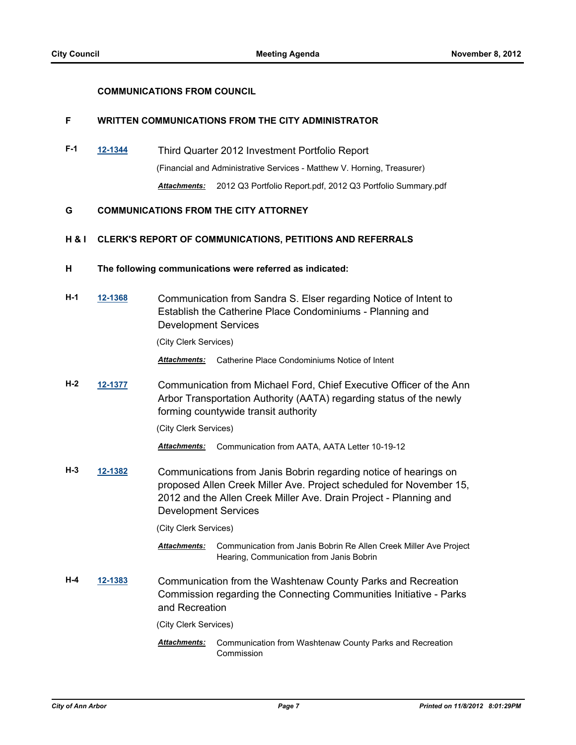# **COMMUNICATIONS FROM COUNCIL**

# **F WRITTEN COMMUNICATIONS FROM THE CITY ADMINISTRATOR**

**F-1 [12-1344](http://a2gov.legistar.com/gateway.aspx?M=L&ID=9662)** Third Quarter 2012 Investment Portfolio Report (Financial and Administrative Services - Matthew V. Horning, Treasurer) *Attachments:* 2012 Q3 Portfolio Report.pdf, 2012 Q3 Portfolio Summary.pdf

## **G COMMUNICATIONS FROM THE CITY ATTORNEY**

# **H & I CLERK'S REPORT OF COMMUNICATIONS, PETITIONS AND REFERRALS**

- **H The following communications were referred as indicated:**
- **H-1 [12-1368](http://a2gov.legistar.com/gateway.aspx?M=L&ID=9688)** Communication from Sandra S. Elser regarding Notice of Intent to Establish the Catherine Place Condominiums - Planning and Development Services

(City Clerk Services)

*Attachments:* Catherine Place Condominiums Notice of Intent

**H-2 [12-1377](http://a2gov.legistar.com/gateway.aspx?M=L&ID=9698)** Communication from Michael Ford, Chief Executive Officer of the Ann Arbor Transportation Authority (AATA) regarding status of the newly forming countywide transit authority

(City Clerk Services)

*Attachments:* Communication from AATA, AATA Letter 10-19-12

**H-3 [12-1382](http://a2gov.legistar.com/gateway.aspx?M=L&ID=9704)** Communications from Janis Bobrin regarding notice of hearings on proposed Allen Creek Miller Ave. Project scheduled for November 15, 2012 and the Allen Creek Miller Ave. Drain Project - Planning and Development Services

(City Clerk Services)

- Attachments: Communication from Janis Bobrin Re Allen Creek Miller Ave Project Hearing, Communication from Janis Bobrin
- **H-4 [12-1383](http://a2gov.legistar.com/gateway.aspx?M=L&ID=9705)** Communication from the Washtenaw County Parks and Recreation Commission regarding the Connecting Communities Initiative - Parks and Recreation

(City Clerk Services)

Communication from Washtenaw County Parks and Recreation Commission *Attachments:*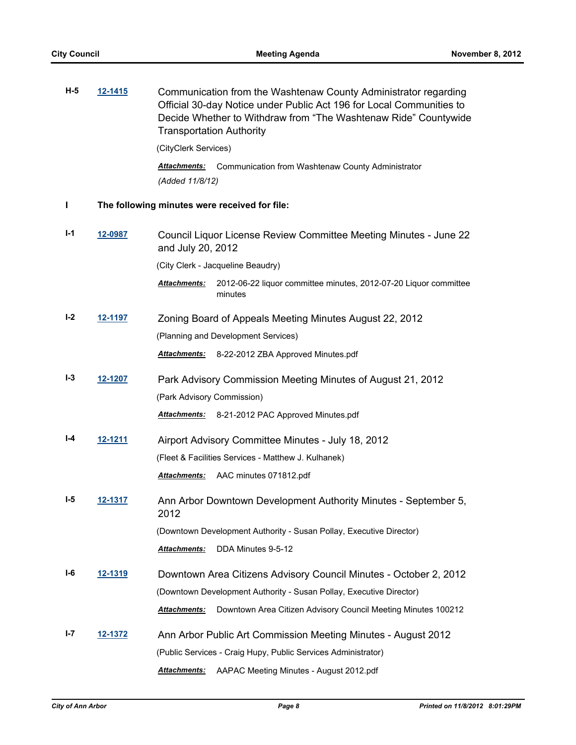| $H-5$ | 12-1415        | Communication from the Washtenaw County Administrator regarding<br>Official 30-day Notice under Public Act 196 for Local Communities to<br>Decide Whether to Withdraw from "The Washtenaw Ride" Countywide<br><b>Transportation Authority</b> |
|-------|----------------|-----------------------------------------------------------------------------------------------------------------------------------------------------------------------------------------------------------------------------------------------|
|       |                | (CityClerk Services)                                                                                                                                                                                                                          |
|       |                | Communication from Washtenaw County Administrator<br><b>Attachments:</b><br>(Added 11/8/12)                                                                                                                                                   |
| L     |                | The following minutes were received for file:                                                                                                                                                                                                 |
| $I-1$ | 12-0987        | Council Liquor License Review Committee Meeting Minutes - June 22<br>and July 20, 2012                                                                                                                                                        |
|       |                | (City Clerk - Jacqueline Beaudry)                                                                                                                                                                                                             |
|       |                | 2012-06-22 liquor committee minutes, 2012-07-20 Liquor committee<br><b>Attachments:</b><br>minutes                                                                                                                                            |
| $I-2$ | 12-1197        | Zoning Board of Appeals Meeting Minutes August 22, 2012                                                                                                                                                                                       |
|       |                | (Planning and Development Services)                                                                                                                                                                                                           |
|       |                | 8-22-2012 ZBA Approved Minutes.pdf<br><u> Attachments:</u>                                                                                                                                                                                    |
| $I-3$ | 12-1207        | Park Advisory Commission Meeting Minutes of August 21, 2012                                                                                                                                                                                   |
|       |                | (Park Advisory Commission)                                                                                                                                                                                                                    |
|       |                | 8-21-2012 PAC Approved Minutes.pdf<br><u> Attachments:</u>                                                                                                                                                                                    |
| I-4   | <u>12-1211</u> | Airport Advisory Committee Minutes - July 18, 2012                                                                                                                                                                                            |
|       |                | (Fleet & Facilities Services - Matthew J. Kulhanek)                                                                                                                                                                                           |
|       |                | AAC minutes 071812.pdf<br><u> Attachments:</u>                                                                                                                                                                                                |
| I-5   | 12-1317        | Ann Arbor Downtown Development Authority Minutes - September 5,<br>2012                                                                                                                                                                       |
|       |                | (Downtown Development Authority - Susan Pollay, Executive Director)                                                                                                                                                                           |
|       |                | DDA Minutes 9-5-12<br>Attachments:                                                                                                                                                                                                            |
| I-6   | <u>12-1319</u> | Downtown Area Citizens Advisory Council Minutes - October 2, 2012                                                                                                                                                                             |
|       |                | (Downtown Development Authority - Susan Pollay, Executive Director)                                                                                                                                                                           |
|       |                | Downtown Area Citizen Advisory Council Meeting Minutes 100212<br><b>Attachments:</b>                                                                                                                                                          |
| I-7   | 12-1372        | Ann Arbor Public Art Commission Meeting Minutes - August 2012                                                                                                                                                                                 |
|       |                | (Public Services - Craig Hupy, Public Services Administrator)                                                                                                                                                                                 |
|       |                | Attachments:<br>AAPAC Meeting Minutes - August 2012.pdf                                                                                                                                                                                       |